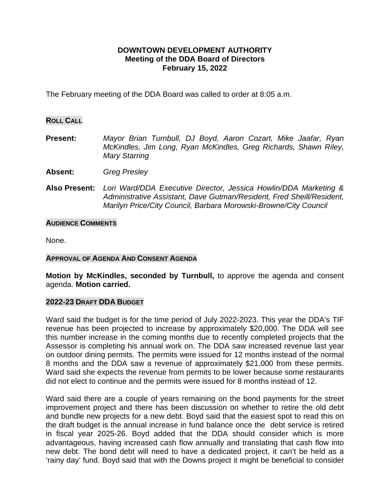## **DOWNTOWN DEVELOPMENT AUTHORITY Meeting of the DDA Board of Directors February 15, 2022**

The February meeting of the DDA Board was called to order at 8:05 a.m.

### **ROLL CALL**

- **Present:** *Mayor Brian Turnbull, DJ Boyd, Aaron Cozart, Mike Jaafar, Ryan McKindles, Jim Long, Ryan McKindles, Greg Richards, Shawn Riley, Mary Starring*
- **Absent:** *Greg Presley*
- **Also Present:** *Lori Ward/DDA Executive Director, Jessica Howlin/DDA Marketing & Administrative Assistant, Dave Gutman/Resident, Fred Sheill/Resident, Marilyn Price/City Council, Barbara Morowski-Browne/City Council*

#### **AUDIENCE COMMENTS**

None.

## **APPROVAL OF AGENDA AND CONSENT AGENDA**

**Motion by McKindles, seconded by Turnbull,** to approve the agenda and consent agenda. **Motion carried.**

#### **2022-23 DRAFT DDA BUDGET**

Ward said the budget is for the time period of July 2022-2023. This year the DDA's TIF revenue has been projected to increase by approximately \$20,000. The DDA will see this number increase in the coming months due to recently completed projects that the Assessor is completing his annual work on. The DDA saw increased revenue last year on outdoor dining permits. The permits were issued for 12 months instead of the normal 8 months and the DDA saw a revenue of approximately \$21,000 from these permits. Ward said she expects the revenue from permits to be lower because some restaurants did not elect to continue and the permits were issued for 8 months instead of 12.

Ward said there are a couple of years remaining on the bond payments for the street improvement project and there has been discussion on whether to retire the old debt and bundle new projects for a new debt. Boyd said that the easiest spot to read this on the draft budget is the annual increase in fund balance once the debt service is retired in fiscal year 2025-26. Boyd added that the DDA should consider which is more advantageous, having increased cash flow annually and translating that cash flow into new debt. The bond debt will need to have a dedicated project, it can't be held as a 'rainy day' fund. Boyd said that with the Downs project it might be beneficial to consider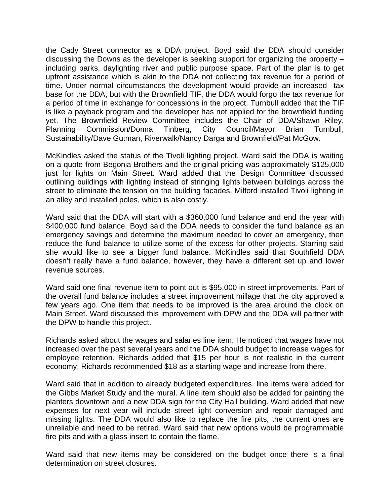the Cady Street connector as a DDA project. Boyd said the DDA should consider discussing the Downs as the developer is seeking support for organizing the property – including parks, daylighting river and public purpose space. Part of the plan is to get upfront assistance which is akin to the DDA not collecting tax revenue for a period of time. Under normal circumstances the development would provide an increased tax base for the DDA, but with the Brownfield TIF, the DDA would forgo the tax revenue for a period of time in exchange for concessions in the project. Turnbull added that the TIF is like a payback program and the developer has not applied for the brownfield funding yet. The Brownfield Review Committee includes the Chair of DDA/Shawn Riley, Planning Commission/Donna Tinberg, City Council/Mayor Brian Turnbull, Sustainability/Dave Gutman, Riverwalk/Nancy Darga and Brownfield/Pat McGow.

McKindles asked the status of the Tivoli lighting project. Ward said the DDA is waiting on a quote from Begonia Brothers and the original pricing was approximately \$125,000 just for lights on Main Street. Ward added that the Design Committee discussed outlining buildings with lighting instead of stringing lights between buildings across the street to eliminate the tension on the building facades. Milford installed Tivoli lighting in an alley and installed poles, which is also costly.

Ward said that the DDA will start with a \$360,000 fund balance and end the year with \$400,000 fund balance. Boyd said the DDA needs to consider the fund balance as an emergency savings and determine the maximum needed to cover an emergency, then reduce the fund balance to utilize some of the excess for other projects. Starring said she would like to see a bigger fund balance. McKindles said that Southfield DDA doesn't really have a fund balance, however, they have a different set up and lower revenue sources.

Ward said one final revenue item to point out is \$95,000 in street improvements. Part of the overall fund balance includes a street improvement millage that the city approved a few years ago. One item that needs to be improved is the area around the clock on Main Street. Ward discussed this improvement with DPW and the DDA will partner with the DPW to handle this project.

Richards asked about the wages and salaries line item. He noticed that wages have not increased over the past several years and the DDA should budget to increase wages for employee retention. Richards added that \$15 per hour is not realistic in the current economy. Richards recommended \$18 as a starting wage and increase from there.

Ward said that in addition to already budgeted expenditures, line items were added for the Gibbs Market Study and the mural. A line item should also be added for painting the planters downtown and a new DDA sign for the City Hall building. Ward added that new expenses for next year will include street light conversion and repair damaged and missing lights. The DDA would also like to replace the fire pits, the current ones are unreliable and need to be retired. Ward said that new options would be programmable fire pits and with a glass insert to contain the flame.

Ward said that new items may be considered on the budget once there is a final determination on street closures.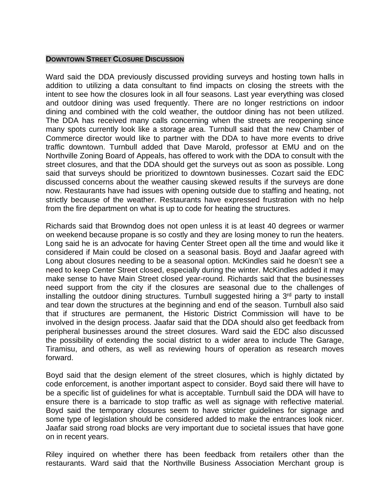### **DOWNTOWN STREET CLOSURE DISCUSSION**

Ward said the DDA previously discussed providing surveys and hosting town halls in addition to utilizing a data consultant to find impacts on closing the streets with the intent to see how the closures look in all four seasons. Last year everything was closed and outdoor dining was used frequently. There are no longer restrictions on indoor dining and combined with the cold weather, the outdoor dining has not been utilized. The DDA has received many calls concerning when the streets are reopening since many spots currently look like a storage area. Turnbull said that the new Chamber of Commerce director would like to partner with the DDA to have more events to drive traffic downtown. Turnbull added that Dave Marold, professor at EMU and on the Northville Zoning Board of Appeals, has offered to work with the DDA to consult with the street closures, and that the DDA should get the surveys out as soon as possible. Long said that surveys should be prioritized to downtown businesses. Cozart said the EDC discussed concerns about the weather causing skewed results if the surveys are done now. Restaurants have had issues with opening outside due to staffing and heating, not strictly because of the weather. Restaurants have expressed frustration with no help from the fire department on what is up to code for heating the structures.

Richards said that Browndog does not open unless it is at least 40 degrees or warmer on weekend because propane is so costly and they are losing money to run the heaters. Long said he is an advocate for having Center Street open all the time and would like it considered if Main could be closed on a seasonal basis. Boyd and Jaafar agreed with Long about closures needing to be a seasonal option. McKindles said he doesn't see a need to keep Center Street closed, especially during the winter. McKindles added it may make sense to have Main Street closed year-round. Richards said that the businesses need support from the city if the closures are seasonal due to the challenges of installing the outdoor dining structures. Turnbull suggested hiring a 3<sup>rd</sup> party to install and tear down the structures at the beginning and end of the season. Turnbull also said that if structures are permanent, the Historic District Commission will have to be involved in the design process. Jaafar said that the DDA should also get feedback from peripheral businesses around the street closures. Ward said the EDC also discussed the possibility of extending the social district to a wider area to include The Garage, Tiramisu, and others, as well as reviewing hours of operation as research moves forward.

Boyd said that the design element of the street closures, which is highly dictated by code enforcement, is another important aspect to consider. Boyd said there will have to be a specific list of guidelines for what is acceptable. Turnbull said the DDA will have to ensure there is a barricade to stop traffic as well as signage with reflective material. Boyd said the temporary closures seem to have stricter guidelines for signage and some type of legislation should be considered added to make the entrances look nicer. Jaafar said strong road blocks are very important due to societal issues that have gone on in recent years.

Riley inquired on whether there has been feedback from retailers other than the restaurants. Ward said that the Northville Business Association Merchant group is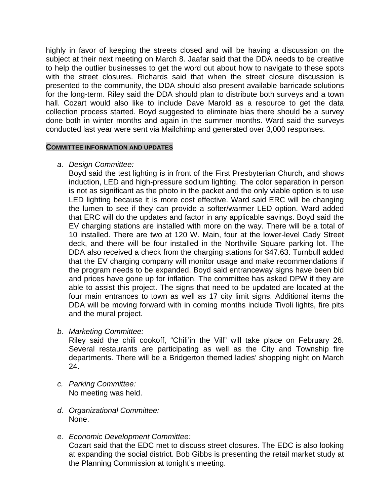highly in favor of keeping the streets closed and will be having a discussion on the subject at their next meeting on March 8. Jaafar said that the DDA needs to be creative to help the outlier businesses to get the word out about how to navigate to these spots with the street closures. Richards said that when the street closure discussion is presented to the community, the DDA should also present available barricade solutions for the long-term. Riley said the DDA should plan to distribute both surveys and a town hall. Cozart would also like to include Dave Marold as a resource to get the data collection process started. Boyd suggested to eliminate bias there should be a survey done both in winter months and again in the summer months. Ward said the surveys conducted last year were sent via Mailchimp and generated over 3,000 responses.

## **COMMITTEE INFORMATION AND UPDATES**

*a. Design Committee:*

Boyd said the test lighting is in front of the First Presbyterian Church, and shows induction, LED and high-pressure sodium lighting. The color separation in person is not as significant as the photo in the packet and the only viable option is to use LED lighting because it is more cost effective. Ward said ERC will be changing the lumen to see if they can provide a softer/warmer LED option. Ward added that ERC will do the updates and factor in any applicable savings. Boyd said the EV charging stations are installed with more on the way. There will be a total of 10 installed. There are two at 120 W. Main, four at the lower-level Cady Street deck, and there will be four installed in the Northville Square parking lot. The DDA also received a check from the charging stations for \$47.63. Turnbull added that the EV charging company will monitor usage and make recommendations if the program needs to be expanded. Boyd said entranceway signs have been bid and prices have gone up for inflation. The committee has asked DPW if they are able to assist this project. The signs that need to be updated are located at the four main entrances to town as well as 17 city limit signs. Additional items the DDA will be moving forward with in coming months include Tivoli lights, fire pits and the mural project.

*b. Marketing Committee:*

Riley said the chili cookoff, "Chili'in the Vill" will take place on February 26. Several restaurants are participating as well as the City and Township fire departments. There will be a Bridgerton themed ladies' shopping night on March 24.

- *c. Parking Committee:* No meeting was held.
- *d. Organizational Committee:* None.
- *e. Economic Development Committee:* Cozart said that the EDC met to discuss street closures. The EDC is also looking at expanding the social district. Bob Gibbs is presenting the retail market study at the Planning Commission at tonight's meeting.